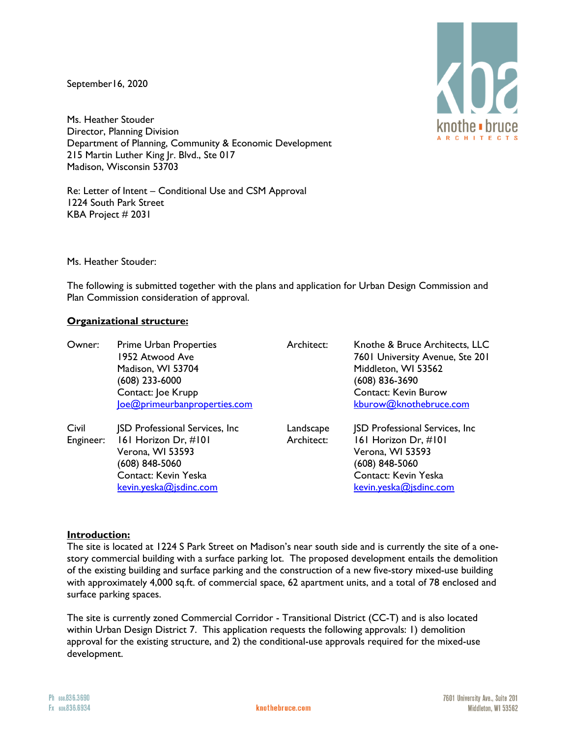September16, 2020

Ms. Heather Stouder Director, Planning Division Department of Planning, Community & Economic Development 215 Martin Luther King Jr. Blvd., Ste 017 Madison, Wisconsin 53703

Re: Letter of Intent – Conditional Use and CSM Approval 1224 South Park Street KBA Project # 2031

Ms. Heather Stouder:

The following is submitted together with the plans and application for Urban Design Commission and Plan Commission consideration of approval.

#### **Organizational structure:**

| Owner:             | <b>Prime Urban Properties</b><br>1952 Atwood Ave<br>Madison, WI 53704<br>(608) 233-6000<br>Contact: Joe Krupp<br>loe@primeurbanproperties.com          | Architect:              | Knothe & Bruce Architects, LLC<br>7601 University Avenue, Ste 201<br>Middleton, WI 53562<br>$(608)$ 836-3690<br><b>Contact: Kevin Burow</b><br>kburow@knothebruce.com |
|--------------------|--------------------------------------------------------------------------------------------------------------------------------------------------------|-------------------------|-----------------------------------------------------------------------------------------------------------------------------------------------------------------------|
| Civil<br>Engineer: | <b>JSD Professional Services, Inc.</b><br>161 Horizon Dr, #101<br>Verona, WI 53593<br>(608) 848-5060<br>Contact: Kevin Yeska<br>kevin.yeska@jsdinc.com | Landscape<br>Architect: | <b>JSD Professional Services, Inc.</b><br>161 Horizon Dr, #101<br>Verona, WI 53593<br>(608) 848-5060<br>Contact: Kevin Yeska<br>kevin.yeska@jsdinc.com                |

#### **Introduction:**

The site is located at 1224 S Park Street on Madison's near south side and is currently the site of a onestory commercial building with a surface parking lot. The proposed development entails the demolition of the existing building and surface parking and the construction of a new five-story mixed-use building with approximately 4,000 sq.ft. of commercial space, 62 apartment units, and a total of 78 enclosed and surface parking spaces.

The site is currently zoned Commercial Corridor - Transitional District (CC-T) and is also located within Urban Design District 7. This application requests the following approvals: 1) demolition approval for the existing structure, and 2) the conditional-use approvals required for the mixed-use development.





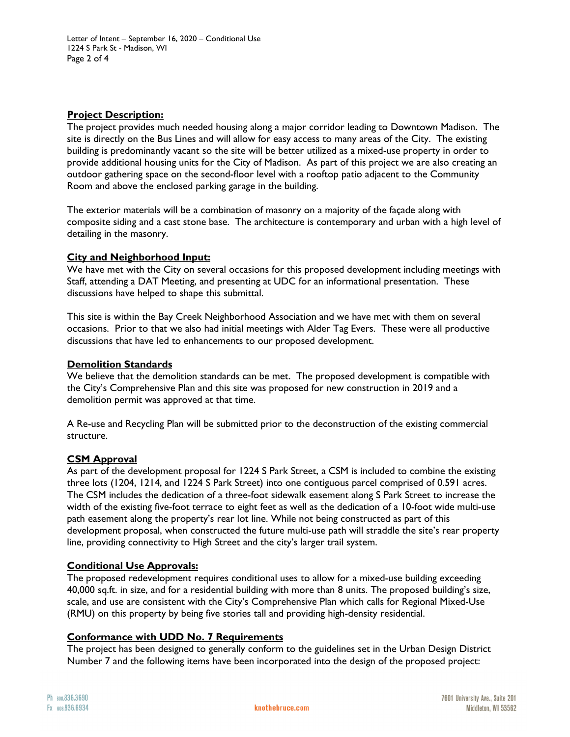Letter of Intent – September 16, 2020 – Conditional Use 1224 S Park St - Madison, WI Page 2 of 4

# **Project Description:**

The project provides much needed housing along a major corridor leading to Downtown Madison. The site is directly on the Bus Lines and will allow for easy access to many areas of the City. The existing building is predominantly vacant so the site will be better utilized as a mixed-use property in order to provide additional housing units for the City of Madison. As part of this project we are also creating an outdoor gathering space on the second-floor level with a rooftop patio adjacent to the Community Room and above the enclosed parking garage in the building.

The exterior materials will be a combination of masonry on a majority of the façade along with composite siding and a cast stone base. The architecture is contemporary and urban with a high level of detailing in the masonry.

# **City and Neighborhood Input:**

We have met with the City on several occasions for this proposed development including meetings with Staff, attending a DAT Meeting, and presenting at UDC for an informational presentation. These discussions have helped to shape this submittal.

This site is within the Bay Creek Neighborhood Association and we have met with them on several occasions. Prior to that we also had initial meetings with Alder Tag Evers. These were all productive discussions that have led to enhancements to our proposed development.

#### **Demolition Standards**

We believe that the demolition standards can be met. The proposed development is compatible with the City's Comprehensive Plan and this site was proposed for new construction in 2019 and a demolition permit was approved at that time.

A Re-use and Recycling Plan will be submitted prior to the deconstruction of the existing commercial structure.

# **CSM Approval**

As part of the development proposal for 1224 S Park Street, a CSM is included to combine the existing three lots (1204, 1214, and 1224 S Park Street) into one contiguous parcel comprised of 0.591 acres. The CSM includes the dedication of a three-foot sidewalk easement along S Park Street to increase the width of the existing five-foot terrace to eight feet as well as the dedication of a 10-foot wide multi-use path easement along the property's rear lot line. While not being constructed as part of this development proposal, when constructed the future multi-use path will straddle the site's rear property line, providing connectivity to High Street and the city's larger trail system.

# **Conditional Use Approvals:**

The proposed redevelopment requires conditional uses to allow for a mixed-use building exceeding 40,000 sq.ft. in size, and for a residential building with more than 8 units. The proposed building's size, scale, and use are consistent with the City's Comprehensive Plan which calls for Regional Mixed-Use (RMU) on this property by being five stories tall and providing high-density residential.

# **Conformance with UDD No. 7 Requirements**

The project has been designed to generally conform to the guidelines set in the Urban Design District Number 7 and the following items have been incorporated into the design of the proposed project: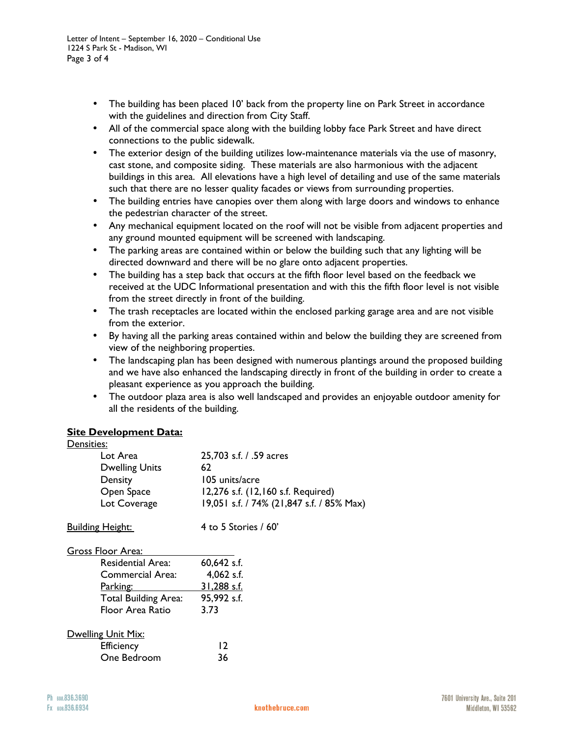- The building has been placed 10' back from the property line on Park Street in accordance with the guidelines and direction from City Staff.
- All of the commercial space along with the building lobby face Park Street and have direct connections to the public sidewalk.
- The exterior design of the building utilizes low-maintenance materials via the use of masonry, cast stone, and composite siding. These materials are also harmonious with the adjacent buildings in this area. All elevations have a high level of detailing and use of the same materials such that there are no lesser quality facades or views from surrounding properties.
- The building entries have canopies over them along with large doors and windows to enhance the pedestrian character of the street.
- Any mechanical equipment located on the roof will not be visible from adjacent properties and any ground mounted equipment will be screened with landscaping.
- The parking areas are contained within or below the building such that any lighting will be directed downward and there will be no glare onto adjacent properties.
- The building has a step back that occurs at the fifth floor level based on the feedback we received at the UDC Informational presentation and with this the fifth floor level is not visible from the street directly in front of the building.
- The trash receptacles are located within the enclosed parking garage area and are not visible from the exterior.
- By having all the parking areas contained within and below the building they are screened from view of the neighboring properties.
- The landscaping plan has been designed with numerous plantings around the proposed building and we have also enhanced the landscaping directly in front of the building in order to create a pleasant experience as you approach the building.
- The outdoor plaza area is also well landscaped and provides an enjoyable outdoor amenity for all the residents of the building.

# **Site Development Data:**

| <u>Densities:</u>           |                                           |  |  |  |
|-----------------------------|-------------------------------------------|--|--|--|
| Lot Area                    | 25,703 s.f. / .59 acres                   |  |  |  |
| <b>Dwelling Units</b>       | 62                                        |  |  |  |
| Density                     | 105 units/acre                            |  |  |  |
| Open Space                  | 12,276 s.f. (12,160 s.f. Required)        |  |  |  |
| Lot Coverage                | 19,051 s.f. / 74% (21,847 s.f. / 85% Max) |  |  |  |
| <b>Building Height:</b>     | 4 to 5 Stories $/$ 60'                    |  |  |  |
| Gross Floor Area:           |                                           |  |  |  |
| Residential Area:           | 60,642 s.f.                               |  |  |  |
| Commercial Area:            | $4,062$ s.f.                              |  |  |  |
| <u>Parking:</u>             | 31,288 s.f.                               |  |  |  |
| <b>Total Building Area:</b> | 95,992 s.f.                               |  |  |  |
| Floor Area Ratio            | 3.73                                      |  |  |  |
| Dwelling Unit Mix:          |                                           |  |  |  |
| <b>Efficiency</b>           | $\overline{2}$                            |  |  |  |
| One Bedroom                 | 36                                        |  |  |  |
|                             |                                           |  |  |  |